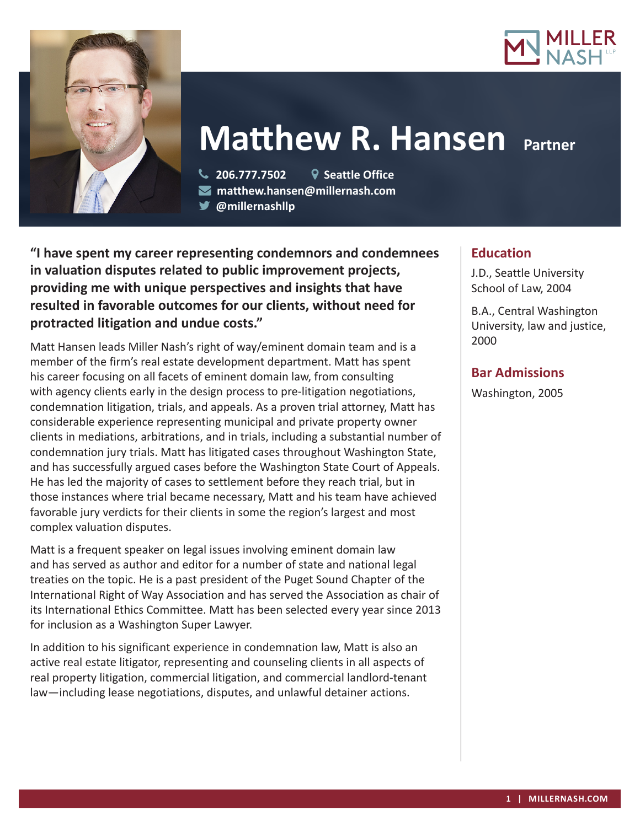



# **Matthew R. Hansen Partner**

 **206.777.7502 Seattle Office matthew.hansen@millernash.com** 

**@millernashllp** 

**"I have spent my career representing condemnors and condemnees in valuation disputes related to public improvement projects, providing me with unique perspectives and insights that have resulted in favorable outcomes for our clients, without need for protracted litigation and undue costs."**

Matt Hansen leads Miller Nash's right of way/eminent domain team and is a member of the firm's real estate development department. Matt has spent his career focusing on all facets of eminent domain law, from consulting with agency clients early in the design process to pre-litigation negotiations, condemnation litigation, trials, and appeals. As a proven trial attorney, Matt has considerable experience representing municipal and private property owner clients in mediations, arbitrations, and in trials, including a substantial number of condemnation jury trials. Matt has litigated cases throughout Washington State, and has successfully argued cases before the Washington State Court of Appeals. He has led the majority of cases to settlement before they reach trial, but in those instances where trial became necessary, Matt and his team have achieved favorable jury verdicts for their clients in some the region's largest and most complex valuation disputes.

Matt is a frequent speaker on legal issues involving eminent domain law and has served as author and editor for a number of state and national legal treaties on the topic. He is a past president of the Puget Sound Chapter of the International Right of Way Association and has served the Association as chair of its International Ethics Committee. Matt has been selected every year since 2013 for inclusion as a Washington Super Lawyer.

In addition to his significant experience in condemnation law, Matt is also an active real estate litigator, representing and counseling clients in all aspects of real property litigation, commercial litigation, and commercial landlord-tenant law—including lease negotiations, disputes, and unlawful detainer actions.

# **Education**

J.D., Seattle University School of Law, 2004

B.A., Central Washington University, law and justice, 2000

# **Bar Admissions**

Washington, 2005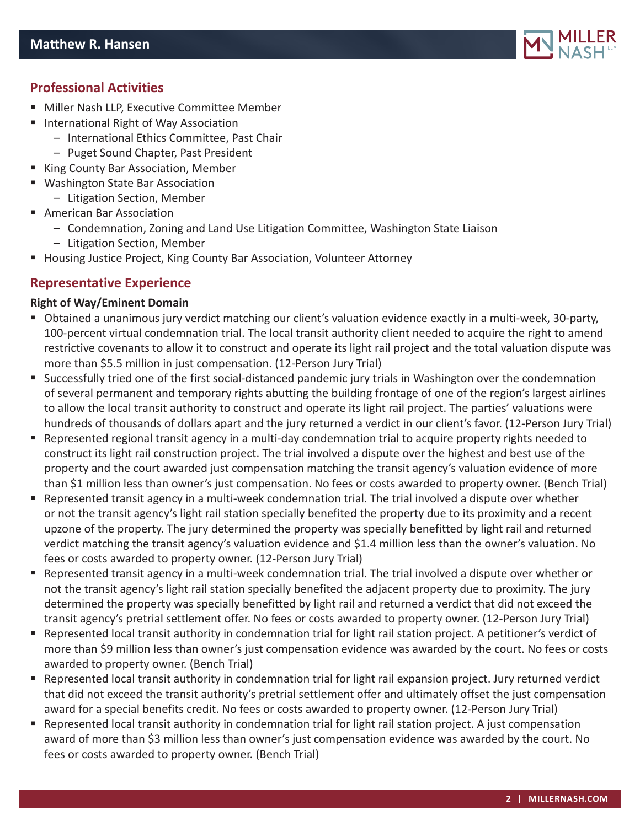

# **Professional Activities**

- **Miller Nash LLP, Executive Committee Member**
- International Right of Way Association
	- International Ethics Committee, Past Chair
	- Puget Sound Chapter, Past President
- King County Bar Association, Member
- Washington State Bar Association
	- Litigation Section, Member
- **American Bar Association** 
	- Condemnation, Zoning and Land Use Litigation Committee, Washington State Liaison
	- Litigation Section, Member
- Housing Justice Project, King County Bar Association, Volunteer Attorney

# **Representative Experience**

#### **Right of Way/Eminent Domain**

- Obtained a unanimous jury verdict matching our client's valuation evidence exactly in a multi-week, 30-party, 100-percent virtual condemnation trial. The local transit authority client needed to acquire the right to amend restrictive covenants to allow it to construct and operate its light rail project and the total valuation dispute was more than \$5.5 million in just compensation. (12-Person Jury Trial)
- Successfully tried one of the first social-distanced pandemic jury trials in Washington over the condemnation of several permanent and temporary rights abutting the building frontage of one of the region's largest airlines to allow the local transit authority to construct and operate its light rail project. The parties' valuations were hundreds of thousands of dollars apart and the jury returned a verdict in our client's favor. (12-Person Jury Trial)
- Represented regional transit agency in a multi-day condemnation trial to acquire property rights needed to construct its light rail construction project. The trial involved a dispute over the highest and best use of the property and the court awarded just compensation matching the transit agency's valuation evidence of more than \$1 million less than owner's just compensation. No fees or costs awarded to property owner. (Bench Trial)
- Represented transit agency in a multi-week condemnation trial. The trial involved a dispute over whether or not the transit agency's light rail station specially benefited the property due to its proximity and a recent upzone of the property. The jury determined the property was specially benefitted by light rail and returned verdict matching the transit agency's valuation evidence and \$1.4 million less than the owner's valuation. No fees or costs awarded to property owner. (12-Person Jury Trial)
- Represented transit agency in a multi-week condemnation trial. The trial involved a dispute over whether or not the transit agency's light rail station specially benefited the adjacent property due to proximity. The jury determined the property was specially benefitted by light rail and returned a verdict that did not exceed the transit agency's pretrial settlement offer. No fees or costs awarded to property owner. (12-Person Jury Trial)
- Represented local transit authority in condemnation trial for light rail station project. A petitioner's verdict of more than \$9 million less than owner's just compensation evidence was awarded by the court. No fees or costs awarded to property owner. (Bench Trial)
- Represented local transit authority in condemnation trial for light rail expansion project. Jury returned verdict that did not exceed the transit authority's pretrial settlement offer and ultimately offset the just compensation award for a special benefits credit. No fees or costs awarded to property owner. (12-Person Jury Trial)
- Represented local transit authority in condemnation trial for light rail station project. A just compensation award of more than \$3 million less than owner's just compensation evidence was awarded by the court. No fees or costs awarded to property owner. (Bench Trial)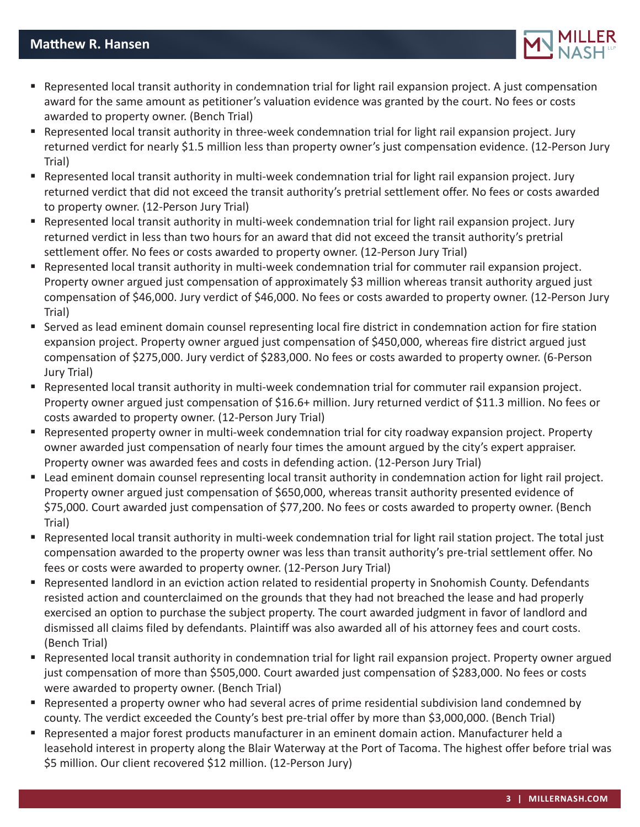

- Represented local transit authority in condemnation trial for light rail expansion project. A just compensation award for the same amount as petitioner's valuation evidence was granted by the court. No fees or costs awarded to property owner. (Bench Trial)
- Represented local transit authority in three-week condemnation trial for light rail expansion project. Jury returned verdict for nearly \$1.5 million less than property owner's just compensation evidence. (12-Person Jury Trial)
- Represented local transit authority in multi-week condemnation trial for light rail expansion project. Jury returned verdict that did not exceed the transit authority's pretrial settlement offer. No fees or costs awarded to property owner. (12-Person Jury Trial)
- Represented local transit authority in multi-week condemnation trial for light rail expansion project. Jury returned verdict in less than two hours for an award that did not exceed the transit authority's pretrial settlement offer. No fees or costs awarded to property owner. (12-Person Jury Trial)
- Represented local transit authority in multi-week condemnation trial for commuter rail expansion project. Property owner argued just compensation of approximately \$3 million whereas transit authority argued just compensation of \$46,000. Jury verdict of \$46,000. No fees or costs awarded to property owner. (12-Person Jury Trial)
- Served as lead eminent domain counsel representing local fire district in condemnation action for fire station expansion project. Property owner argued just compensation of \$450,000, whereas fire district argued just compensation of \$275,000. Jury verdict of \$283,000. No fees or costs awarded to property owner. (6-Person Jury Trial)
- Represented local transit authority in multi-week condemnation trial for commuter rail expansion project. Property owner argued just compensation of \$16.6+ million. Jury returned verdict of \$11.3 million. No fees or costs awarded to property owner. (12-Person Jury Trial)
- Represented property owner in multi-week condemnation trial for city roadway expansion project. Property owner awarded just compensation of nearly four times the amount argued by the city's expert appraiser. Property owner was awarded fees and costs in defending action. (12-Person Jury Trial)
- Lead eminent domain counsel representing local transit authority in condemnation action for light rail project. Property owner argued just compensation of \$650,000, whereas transit authority presented evidence of \$75,000. Court awarded just compensation of \$77,200. No fees or costs awarded to property owner. (Bench Trial)
- Represented local transit authority in multi-week condemnation trial for light rail station project. The total just compensation awarded to the property owner was less than transit authority's pre-trial settlement offer. No fees or costs were awarded to property owner. (12-Person Jury Trial)
- Represented landlord in an eviction action related to residential property in Snohomish County. Defendants resisted action and counterclaimed on the grounds that they had not breached the lease and had properly exercised an option to purchase the subject property. The court awarded judgment in favor of landlord and dismissed all claims filed by defendants. Plaintiff was also awarded all of his attorney fees and court costs. (Bench Trial)
- Represented local transit authority in condemnation trial for light rail expansion project. Property owner argued just compensation of more than \$505,000. Court awarded just compensation of \$283,000. No fees or costs were awarded to property owner. (Bench Trial)
- Represented a property owner who had several acres of prime residential subdivision land condemned by county. The verdict exceeded the County's best pre-trial offer by more than \$3,000,000. (Bench Trial)
- Represented a major forest products manufacturer in an eminent domain action. Manufacturer held a leasehold interest in property along the Blair Waterway at the Port of Tacoma. The highest offer before trial was \$5 million. Our client recovered \$12 million. (12-Person Jury)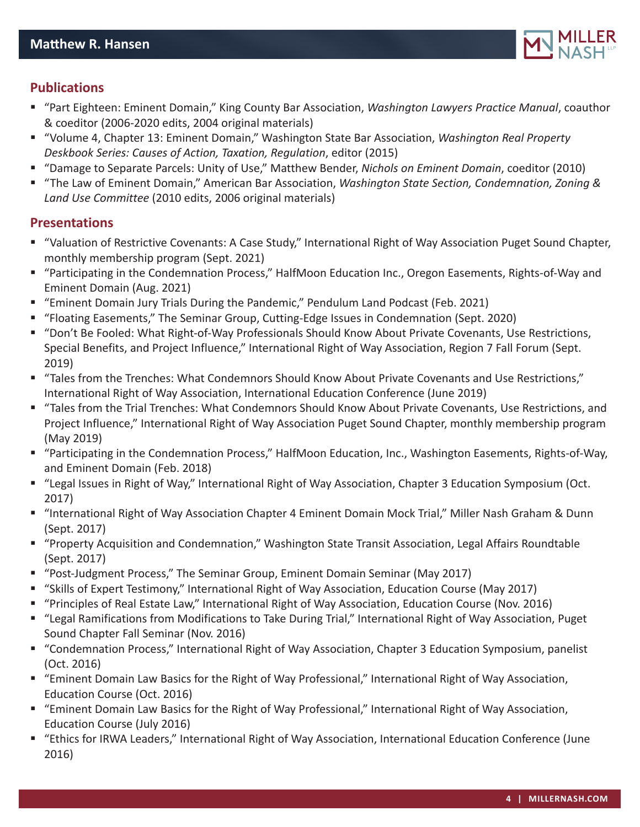

## **Publications**

- "Part Eighteen: Eminent Domain," King County Bar Association, *Washington Lawyers Practice Manual*, coauthor & coeditor (2006-2020 edits, 2004 original materials)
- "Volume 4, Chapter 13: Eminent Domain," Washington State Bar Association, *Washington Real Property Deskbook Series: Causes of Action, Taxation, Regulation*, editor (2015)
- "Damage to Separate Parcels: Unity of Use," Matthew Bender, *Nichols on Eminent Domain*, coeditor (2010)
- "The Law of Eminent Domain," American Bar Association, *Washington State Section, Condemnation, Zoning & Land Use Committee* (2010 edits, 2006 original materials)

## **Presentations**

- "Valuation of Restrictive Covenants: A Case Study," International Right of Way Association Puget Sound Chapter, monthly membership program (Sept. 2021)
- "Participating in the Condemnation Process," HalfMoon Education Inc., Oregon Easements, Rights-of-Way and Eminent Domain (Aug. 2021)
- "Eminent Domain Jury Trials During the Pandemic," Pendulum Land Podcast (Feb. 2021)
- "Floating Easements," The Seminar Group, Cutting-Edge Issues in Condemnation (Sept. 2020)
- "Don't Be Fooled: What Right-of-Way Professionals Should Know About Private Covenants, Use Restrictions, Special Benefits, and Project Influence," International Right of Way Association, Region 7 Fall Forum (Sept. 2019)
- "Tales from the Trenches: What Condemnors Should Know About Private Covenants and Use Restrictions," International Right of Way Association, International Education Conference (June 2019)
- "Tales from the Trial Trenches: What Condemnors Should Know About Private Covenants, Use Restrictions, and Project Influence," International Right of Way Association Puget Sound Chapter, monthly membership program (May 2019)
- "Participating in the Condemnation Process," HalfMoon Education, Inc., Washington Easements, Rights-of-Way, and Eminent Domain (Feb. 2018)
- "Legal Issues in Right of Way," International Right of Way Association, Chapter 3 Education Symposium (Oct. 2017)
- "International Right of Way Association Chapter 4 Eminent Domain Mock Trial," Miller Nash Graham & Dunn (Sept. 2017)
- "Property Acquisition and Condemnation," Washington State Transit Association, Legal Affairs Roundtable (Sept. 2017)
- "Post-Judgment Process," The Seminar Group, Eminent Domain Seminar (May 2017)
- "Skills of Expert Testimony," International Right of Way Association, Education Course (May 2017)
- "Principles of Real Estate Law," International Right of Way Association, Education Course (Nov. 2016)
- "Legal Ramifications from Modifications to Take During Trial," International Right of Way Association, Puget Sound Chapter Fall Seminar (Nov. 2016)
- "Condemnation Process," International Right of Way Association, Chapter 3 Education Symposium, panelist (Oct. 2016)
- "Eminent Domain Law Basics for the Right of Way Professional," International Right of Way Association, Education Course (Oct. 2016)
- "Eminent Domain Law Basics for the Right of Way Professional," International Right of Way Association, Education Course (July 2016)
- "Ethics for IRWA Leaders," International Right of Way Association, International Education Conference (June 2016)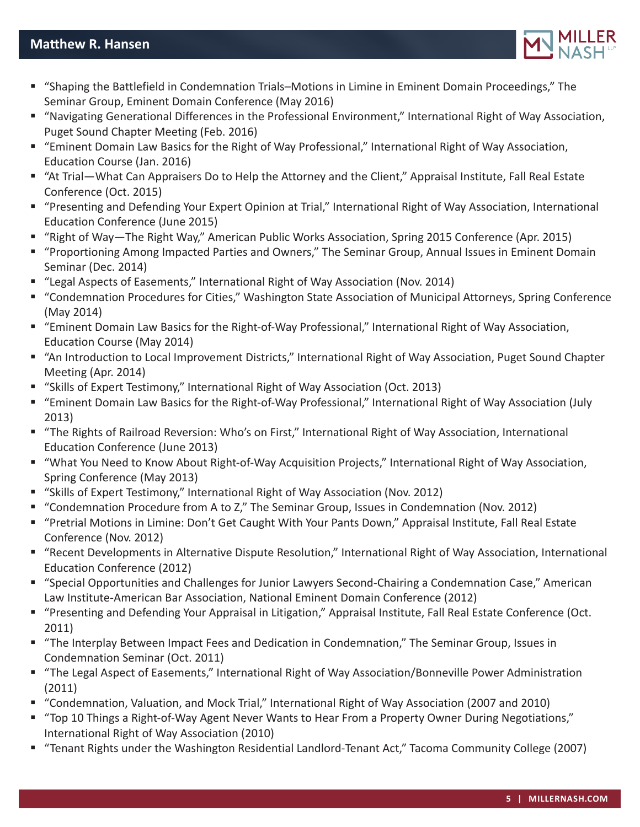## **Matthew R. Hansen**



- "Shaping the Battlefield in Condemnation Trials–Motions in Limine in Eminent Domain Proceedings," The Seminar Group, Eminent Domain Conference (May 2016)
- "Navigating Generational Differences in the Professional Environment," International Right of Way Association, Puget Sound Chapter Meeting (Feb. 2016)
- "Eminent Domain Law Basics for the Right of Way Professional," International Right of Way Association, Education Course (Jan. 2016)
- "At Trial—What Can Appraisers Do to Help the Attorney and the Client," Appraisal Institute, Fall Real Estate Conference (Oct. 2015)
- "Presenting and Defending Your Expert Opinion at Trial," International Right of Way Association, International Education Conference (June 2015)
- "Right of Way—The Right Way," American Public Works Association, Spring 2015 Conference (Apr. 2015)
- "Proportioning Among Impacted Parties and Owners," The Seminar Group, Annual Issues in Eminent Domain Seminar (Dec. 2014)
- "Legal Aspects of Easements," International Right of Way Association (Nov. 2014)
- "Condemnation Procedures for Cities," Washington State Association of Municipal Attorneys, Spring Conference (May 2014)
- "Eminent Domain Law Basics for the Right-of-Way Professional," International Right of Way Association, Education Course (May 2014)
- "An Introduction to Local Improvement Districts," International Right of Way Association, Puget Sound Chapter Meeting (Apr. 2014)
- "Skills of Expert Testimony," International Right of Way Association (Oct. 2013)
- "Eminent Domain Law Basics for the Right-of-Way Professional," International Right of Way Association (July 2013)
- "The Rights of Railroad Reversion: Who's on First," International Right of Way Association, International Education Conference (June 2013)
- "What You Need to Know About Right-of-Way Acquisition Projects," International Right of Way Association, Spring Conference (May 2013)
- "Skills of Expert Testimony," International Right of Way Association (Nov. 2012)
- "Condemnation Procedure from A to Z," The Seminar Group, Issues in Condemnation (Nov. 2012)
- "Pretrial Motions in Limine: Don't Get Caught With Your Pants Down," Appraisal Institute, Fall Real Estate Conference (Nov. 2012)
- "Recent Developments in Alternative Dispute Resolution," International Right of Way Association, International Education Conference (2012)
- "Special Opportunities and Challenges for Junior Lawyers Second-Chairing a Condemnation Case," American Law Institute-American Bar Association, National Eminent Domain Conference (2012)
- "Presenting and Defending Your Appraisal in Litigation," Appraisal Institute, Fall Real Estate Conference (Oct. 2011)
- "The Interplay Between Impact Fees and Dedication in Condemnation," The Seminar Group, Issues in Condemnation Seminar (Oct. 2011)
- "The Legal Aspect of Easements," International Right of Way Association/Bonneville Power Administration (2011)
- "Condemnation, Valuation, and Mock Trial," International Right of Way Association (2007 and 2010)
- "Top 10 Things a Right-of-Way Agent Never Wants to Hear From a Property Owner During Negotiations," International Right of Way Association (2010)
- "Tenant Rights under the Washington Residential Landlord-Tenant Act," Tacoma Community College (2007)